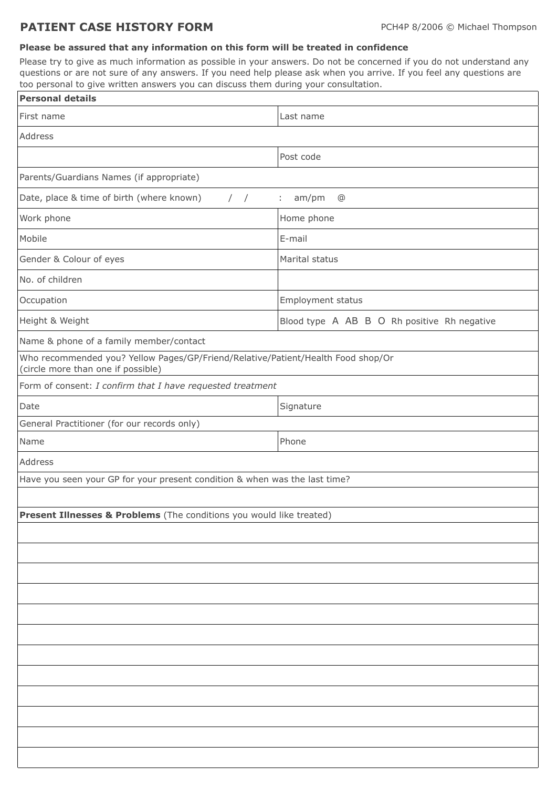## **PATIENT CASE HISTORY FORM** PCH4P 8/2006 © Michael Thompson

## **Please be assured that any information on this form will be treated in confidence**

Please try to give as much information as possible in your answers. Do not be concerned if you do not understand any questions or are not sure of any answers. If you need help please ask when you arrive. If you feel any questions are too personal to give written answers you can discuss them during your consultation.

| <b>Personal details</b>                                                                                                |                                             |  |
|------------------------------------------------------------------------------------------------------------------------|---------------------------------------------|--|
| First name                                                                                                             | Last name                                   |  |
| Address                                                                                                                |                                             |  |
|                                                                                                                        | Post code                                   |  |
| Parents/Guardians Names (if appropriate)                                                                               |                                             |  |
| Date, place & time of birth (where known)<br>$\frac{1}{2}$                                                             | am/pm<br>÷.<br>@                            |  |
| Work phone                                                                                                             | Home phone                                  |  |
| Mobile                                                                                                                 | E-mail                                      |  |
| Gender & Colour of eyes                                                                                                | Marital status                              |  |
| No. of children                                                                                                        |                                             |  |
| Occupation                                                                                                             | Employment status                           |  |
| Height & Weight                                                                                                        | Blood type A AB B O Rh positive Rh negative |  |
| Name & phone of a family member/contact                                                                                |                                             |  |
| Who recommended you? Yellow Pages/GP/Friend/Relative/Patient/Health Food shop/Or<br>(circle more than one if possible) |                                             |  |
| Form of consent: I confirm that I have requested treatment                                                             |                                             |  |
| Date                                                                                                                   | Signature                                   |  |
| General Practitioner (for our records only)                                                                            |                                             |  |
| Name                                                                                                                   | Phone                                       |  |
| Address                                                                                                                |                                             |  |
| Have you seen your GP for your present condition & when was the last time?                                             |                                             |  |
|                                                                                                                        |                                             |  |
| Present Illnesses & Problems (The conditions you would like treated)                                                   |                                             |  |
|                                                                                                                        |                                             |  |
|                                                                                                                        |                                             |  |
|                                                                                                                        |                                             |  |
|                                                                                                                        |                                             |  |
|                                                                                                                        |                                             |  |
|                                                                                                                        |                                             |  |
|                                                                                                                        |                                             |  |
|                                                                                                                        |                                             |  |
|                                                                                                                        |                                             |  |
|                                                                                                                        |                                             |  |
|                                                                                                                        |                                             |  |
|                                                                                                                        |                                             |  |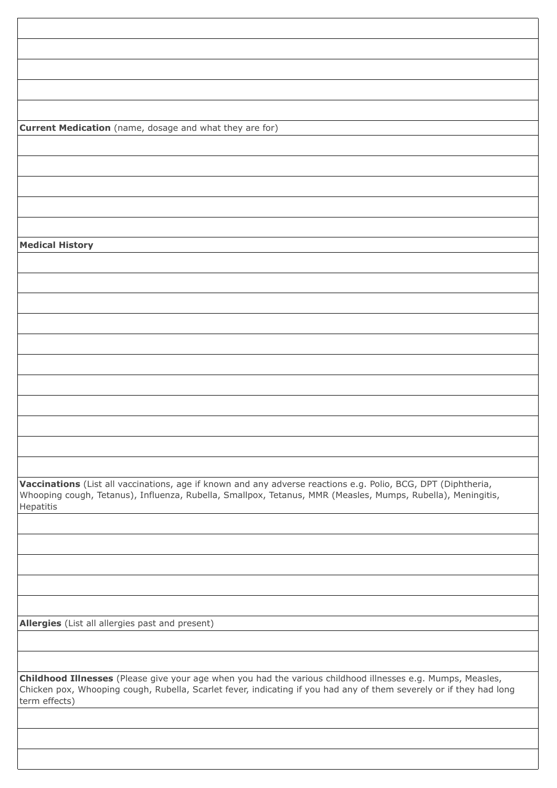**Current Medication** (name, dosage and what they are for)

**Medical History**

**Vaccinations** (List all vaccinations, age if known and any adverse reactions e.g. Polio, BCG, DPT (Diphtheria, Whooping cough, Tetanus), Influenza, Rubella, Smallpox, Tetanus, MMR (Measles, Mumps, Rubella), Meningitis, Hepatitis

**Allergies** (List all allergies past and present)

**Childhood Illnesses** (Please give your age when you had the various childhood illnesses e.g. Mumps, Measles, Chicken pox, Whooping cough, Rubella, Scarlet fever, indicating if you had any of them severely or if they had long term effects)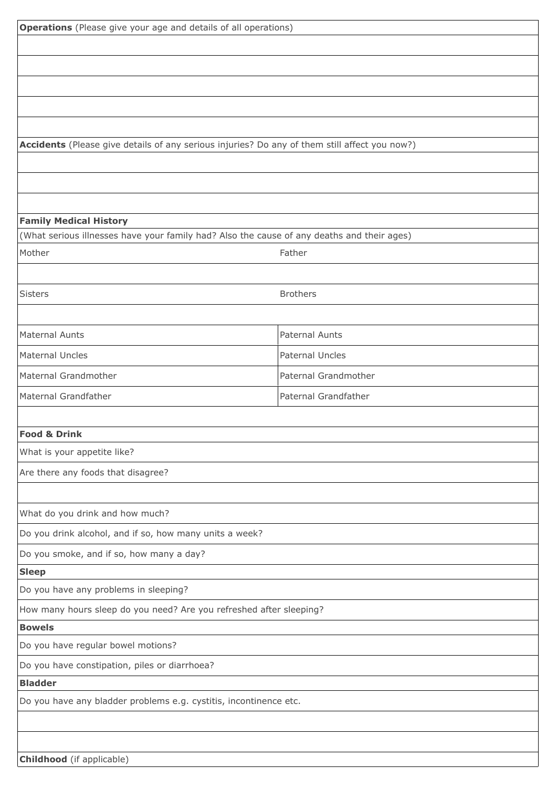| <b>Operations</b> (Please give your age and details of all operations)                        |                      |  |
|-----------------------------------------------------------------------------------------------|----------------------|--|
|                                                                                               |                      |  |
|                                                                                               |                      |  |
|                                                                                               |                      |  |
|                                                                                               |                      |  |
|                                                                                               |                      |  |
| Accidents (Please give details of any serious injuries? Do any of them still affect you now?) |                      |  |
|                                                                                               |                      |  |
|                                                                                               |                      |  |
|                                                                                               |                      |  |
| <b>Family Medical History</b>                                                                 |                      |  |
| (What serious illnesses have your family had? Also the cause of any deaths and their ages)    |                      |  |
| Mother                                                                                        | Father               |  |
|                                                                                               |                      |  |
| <b>Sisters</b>                                                                                | <b>Brothers</b>      |  |
|                                                                                               |                      |  |
| Maternal Aunts                                                                                | Paternal Aunts       |  |
| <b>Maternal Uncles</b>                                                                        | Paternal Uncles      |  |
| Maternal Grandmother                                                                          | Paternal Grandmother |  |
|                                                                                               |                      |  |
| Maternal Grandfather                                                                          | Paternal Grandfather |  |
|                                                                                               |                      |  |
| <b>Food &amp; Drink</b><br>What is your appetite like?                                        |                      |  |
|                                                                                               |                      |  |
| Are there any foods that disagree?                                                            |                      |  |
|                                                                                               |                      |  |
| What do you drink and how much?                                                               |                      |  |
| Do you drink alcohol, and if so, how many units a week?                                       |                      |  |
| Do you smoke, and if so, how many a day?                                                      |                      |  |
| <b>Sleep</b>                                                                                  |                      |  |
| Do you have any problems in sleeping?                                                         |                      |  |
| How many hours sleep do you need? Are you refreshed after sleeping?                           |                      |  |
| <b>Bowels</b>                                                                                 |                      |  |
| Do you have regular bowel motions?                                                            |                      |  |
| Do you have constipation, piles or diarrhoea?                                                 |                      |  |
| <b>Bladder</b>                                                                                |                      |  |
| Do you have any bladder problems e.g. cystitis, incontinence etc.                             |                      |  |
|                                                                                               |                      |  |
|                                                                                               |                      |  |
| <b>Childhood</b> (if applicable)                                                              |                      |  |

**Childhood** (if applicable)